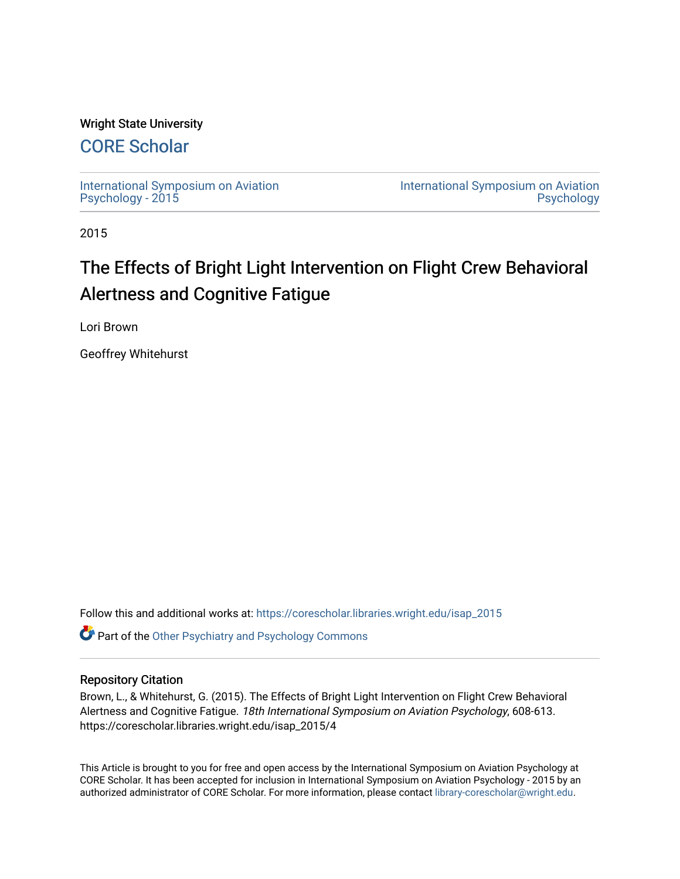## Wright State University

## [CORE Scholar](https://corescholar.libraries.wright.edu/)

[International Symposium on Aviation](https://corescholar.libraries.wright.edu/isap_2015) [Psychology - 2015](https://corescholar.libraries.wright.edu/isap_2015)

[International Symposium on Aviation](https://corescholar.libraries.wright.edu/isap)  [Psychology](https://corescholar.libraries.wright.edu/isap) 

2015

# The Effects of Bright Light Intervention on Flight Crew Behavioral Alertness and Cognitive Fatigue

Lori Brown

Geoffrey Whitehurst

Follow this and additional works at: [https://corescholar.libraries.wright.edu/isap\\_2015](https://corescholar.libraries.wright.edu/isap_2015?utm_source=corescholar.libraries.wright.edu%2Fisap_2015%2F4&utm_medium=PDF&utm_campaign=PDFCoverPages) **Part of the [Other Psychiatry and Psychology Commons](http://network.bepress.com/hgg/discipline/992?utm_source=corescholar.libraries.wright.edu%2Fisap_2015%2F4&utm_medium=PDF&utm_campaign=PDFCoverPages)** 

### Repository Citation

Brown, L., & Whitehurst, G. (2015). The Effects of Bright Light Intervention on Flight Crew Behavioral Alertness and Cognitive Fatigue. 18th International Symposium on Aviation Psychology, 608-613. https://corescholar.libraries.wright.edu/isap\_2015/4

This Article is brought to you for free and open access by the International Symposium on Aviation Psychology at CORE Scholar. It has been accepted for inclusion in International Symposium on Aviation Psychology - 2015 by an authorized administrator of CORE Scholar. For more information, please contact [library-corescholar@wright.edu](mailto:library-corescholar@wright.edu).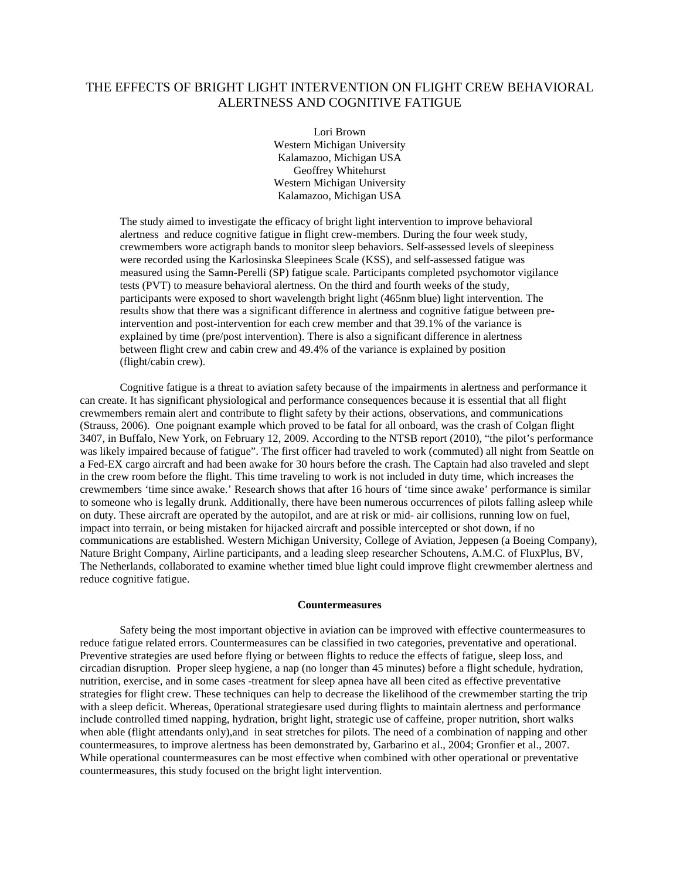## THE EFFECTS OF BRIGHT LIGHT INTERVENTION ON FLIGHT CREW BEHAVIORAL ALERTNESS AND COGNITIVE FATIGUE

Lori Brown Western Michigan University Kalamazoo, Michigan USA Geoffrey Whitehurst Western Michigan University Kalamazoo, Michigan USA

The study aimed to investigate the efficacy of bright light intervention to improve behavioral alertness and reduce cognitive fatigue in flight crew-members. During the four week study, crewmembers wore actigraph bands to monitor sleep behaviors. Self-assessed levels of sleepiness were recorded using the Karlosinska Sleepinees Scale (KSS), and self-assessed fatigue was measured using the Samn-Perelli (SP) fatigue scale. Participants completed psychomotor vigilance tests (PVT) to measure behavioral alertness. On the third and fourth weeks of the study, participants were exposed to short wavelength bright light (465nm blue) light intervention. The results show that there was a significant difference in alertness and cognitive fatigue between preintervention and post-intervention for each crew member and that 39.1% of the variance is explained by time (pre/post intervention). There is also a significant difference in alertness between flight crew and cabin crew and 49.4% of the variance is explained by position (flight/cabin crew).

Cognitive fatigue is a threat to aviation safety because of the impairments in alertness and performance it can create. It has significant physiological and performance consequences because it is essential that all flight crewmembers remain alert and contribute to flight safety by their actions, observations, and communications (Strauss, 2006). One poignant example which proved to be fatal for all onboard, was the crash of Colgan flight 3407, in Buffalo, New York, on February 12, 2009. According to the NTSB report (2010), "the pilot's performance was likely impaired because of fatigue". The first officer had traveled to work (commuted) all night from Seattle on a Fed-EX cargo aircraft and had been awake for 30 hours before the crash. The Captain had also traveled and slept in the crew room before the flight. This time traveling to work is not included in duty time, which increases the crewmembers 'time since awake.' Research shows that after 16 hours of 'time since awake' performance is similar to someone who is legally drunk. Additionally, there have been numerous occurrences of pilots falling asleep while on duty. These aircraft are operated by the autopilot, and are at risk or mid- air collisions, running low on fuel, impact into terrain, or being mistaken for hijacked aircraft and possible intercepted or shot down, if no communications are established. Western Michigan University, College of Aviation, Jeppesen (a Boeing Company), Nature Bright Company, Airline participants, and a leading sleep researcher Schoutens, A.M.C. of FluxPlus, BV, The Netherlands, collaborated to examine whether timed blue light could improve flight crewmember alertness and reduce cognitive fatigue.

#### **Countermeasures**

Safety being the most important objective in aviation can be improved with effective countermeasures to reduce fatigue related errors. Countermeasures can be classified in two categories, preventative and operational. Preventive strategies are used before flying or between flights to reduce the effects of fatigue, sleep loss, and circadian disruption. Proper sleep hygiene, a nap (no longer than 45 minutes) before a flight schedule, hydration, nutrition, exercise, and in some cases -treatment for sleep apnea have all been cited as effective preventative strategies for flight crew. These techniques can help to decrease the likelihood of the crewmember starting the trip with a sleep deficit. Whereas, 0perational strategiesare used during flights to maintain alertness and performance include controlled timed napping, hydration, bright light, strategic use of caffeine, proper nutrition, short walks when able (flight attendants only),and in seat stretches for pilots. The need of a combination of napping and other countermeasures, to improve alertness has been demonstrated by, Garbarino et al., 2004; Gronfier et al., 2007. While operational countermeasures can be most effective when combined with other operational or preventative countermeasures, this study focused on the bright light intervention.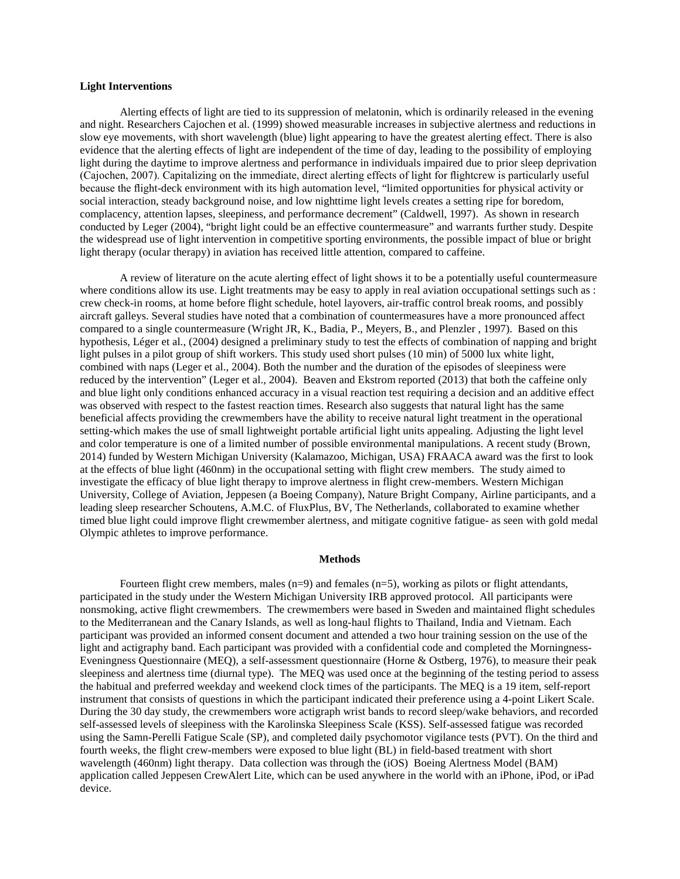#### **Light Interventions**

Alerting effects of light are tied to its suppression of melatonin, which is ordinarily released in the evening and night. Researchers Cajochen et al. (1999) showed measurable increases in subjective alertness and reductions in slow eye movements, with short wavelength (blue) light appearing to have the greatest alerting effect. There is also evidence that the alerting effects of light are independent of the time of day, leading to the possibility of employing light during the daytime to improve alertness and performance in individuals impaired due to prior sleep deprivation (Cajochen, 2007). Capitalizing on the immediate, direct alerting effects of light for flightcrew is particularly useful because the flight-deck environment with its high automation level, "limited opportunities for physical activity or social interaction, steady background noise, and low nighttime light levels creates a setting ripe for boredom, complacency, attention lapses, sleepiness, and performance decrement" (Caldwell, 1997). As shown in research conducted by Leger (2004), "bright light could be an effective countermeasure" and warrants further study. Despite the widespread use of light intervention in competitive sporting environments, the possible impact of blue or bright light therapy (ocular therapy) in aviation has received little attention, compared to caffeine.

A review of literature on the acute alerting effect of light shows it to be a potentially useful countermeasure where conditions allow its use. Light treatments may be easy to apply in real aviation occupational settings such as : crew check-in rooms, at home before flight schedule, hotel layovers, air-traffic control break rooms, and possibly aircraft galleys. Several studies have noted that a combination of countermeasures have a more pronounced affect compared to a single countermeasure (Wright JR, K., Badia, P., Meyers, B., and Plenzler , 1997). Based on this hypothesis, Léger et al., (2004) designed a preliminary study to test the effects of combination of napping and bright light pulses in a pilot group of shift workers. This study used short pulses (10 min) of 5000 lux white light, combined with naps (Leger et al., 2004). Both the number and the duration of the episodes of sleepiness were reduced by the intervention" (Leger et al., 2004). Beaven and Ekstrom reported (2013) that both the caffeine only and blue light only conditions enhanced accuracy in a visual reaction test requiring a decision and an additive effect was observed with respect to the fastest reaction times. Research also suggests that natural light has the same beneficial affects providing the crewmembers have the ability to receive natural light treatment in the operational setting-which makes the use of small lightweight portable artificial light units appealing. Adjusting the light level and color temperature is one of a limited number of possible environmental manipulations. A recent study (Brown, 2014) funded by Western Michigan University (Kalamazoo, Michigan, USA) FRAACA award was the first to look at the effects of blue light (460nm) in the occupational setting with flight crew members. The study aimed to investigate the efficacy of blue light therapy to improve alertness in flight crew-members. Western Michigan University, College of Aviation, Jeppesen (a Boeing Company), Nature Bright Company, Airline participants, and a leading sleep researcher Schoutens, A.M.C. of FluxPlus, BV, The Netherlands, collaborated to examine whether timed blue light could improve flight crewmember alertness, and mitigate cognitive fatigue- as seen with gold medal Olympic athletes to improve performance.

#### **Methods**

Fourteen flight crew members, males (n=9) and females (n=5), working as pilots or flight attendants, participated in the study under the Western Michigan University IRB approved protocol. All participants were nonsmoking, active flight crewmembers. The crewmembers were based in Sweden and maintained flight schedules to the Mediterranean and the Canary Islands, as well as long-haul flights to Thailand, India and Vietnam. Each participant was provided an informed consent document and attended a two hour training session on the use of the light and actigraphy band. Each participant was provided with a confidential code and completed the Morningness-Eveningness Questionnaire (MEQ), a self-assessment questionnaire (Horne & Ostberg, 1976), to measure their peak sleepiness and alertness time (diurnal type). The MEQ was used once at the beginning of the testing period to assess the habitual and preferred weekday and weekend clock times of the participants. The MEQ is a 19 item, self-report instrument that consists of questions in which the participant indicated their preference using a 4-point Likert Scale. During the 30 day study, the crewmembers wore actigraph wrist bands to record sleep/wake behaviors, and recorded self-assessed levels of sleepiness with the Karolinska Sleepiness Scale (KSS). Self-assessed fatigue was recorded using the Samn-Perelli Fatigue Scale (SP), and completed daily psychomotor vigilance tests (PVT). On the third and fourth weeks, the flight crew-members were exposed to blue light (BL) in field-based treatment with short wavelength (460nm) light therapy. Data collection was through the (iOS) Boeing Alertness Model (BAM) application called Jeppesen CrewAlert Lite, which can be used anywhere in the world with an iPhone, iPod, or iPad device.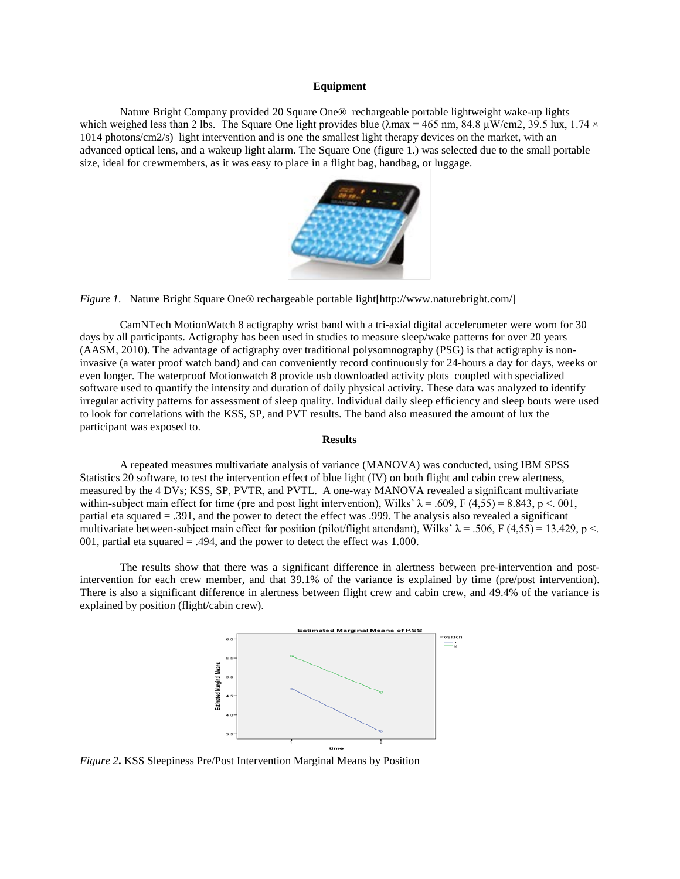#### **Equipment**

Nature Bright Company provided 20 Square One® rechargeable portable lightweight wake-up lights which weighed less than 2 lbs. The Square One light provides blue ( $\lambda$ max = 465 nm, 84.8  $\mu$ W/cm2, 39.5 lux, 1.74  $\times$ 1014 photons/cm2/s) light intervention and is one the smallest light therapy devices on the market, with an advanced optical lens, and a wakeup light alarm. The Square One (figure 1.) was selected due to the small portable size, ideal for crewmembers, as it was easy to place in a flight bag, handbag, or luggage.



*Figure 1.* Nature Bright Square One® rechargeable portable light[http://www.naturebright.com/]

CamNTech MotionWatch 8 actigraphy wrist band with a tri-axial digital accelerometer were worn for 30 days by all participants. Actigraphy has been used in studies to measure sleep/wake patterns for over 20 years (AASM, 2010). The advantage of actigraphy over traditional polysomnography (PSG) is that actigraphy is noninvasive (a water proof watch band) and can conveniently record continuously for 24-hours a day for days, weeks or even longer. The waterproof Motionwatch 8 provide usb downloaded activity plots coupled with specialized software used to quantify the intensity and duration of daily physical activity. These data was analyzed to identify irregular activity patterns for assessment of sleep quality. Individual daily sleep efficiency and sleep bouts were used to look for correlations with the KSS, SP, and PVT results. The band also measured the amount of lux the participant was exposed to.

#### **Results**

A repeated measures multivariate analysis of variance (MANOVA) was conducted, using IBM SPSS Statistics 20 software, to test the intervention effect of blue light (IV) on both flight and cabin crew alertness, measured by the 4 DVs; KSS, SP, PVTR, and PVTL. A one-way MANOVA revealed a significant multivariate within-subject main effect for time (pre and post light intervention), Wilks'  $\lambda = .609$ , F (4,55) = 8.843, p <. 001, partial eta squared = .391, and the power to detect the effect was .999. The analysis also revealed a significant multivariate between-subject main effect for position (pilot/flight attendant), Wilks'  $\lambda = .506$ , F (4,55) = 13.429, p <. 001, partial eta squared  $= .494$ , and the power to detect the effect was 1.000.

The results show that there was a significant difference in alertness between pre-intervention and postintervention for each crew member, and that 39.1% of the variance is explained by time (pre/post intervention). There is also a significant difference in alertness between flight crew and cabin crew, and 49.4% of the variance is explained by position (flight/cabin crew).



*Figure 2***.** KSS Sleepiness Pre/Post Intervention Marginal Means by Position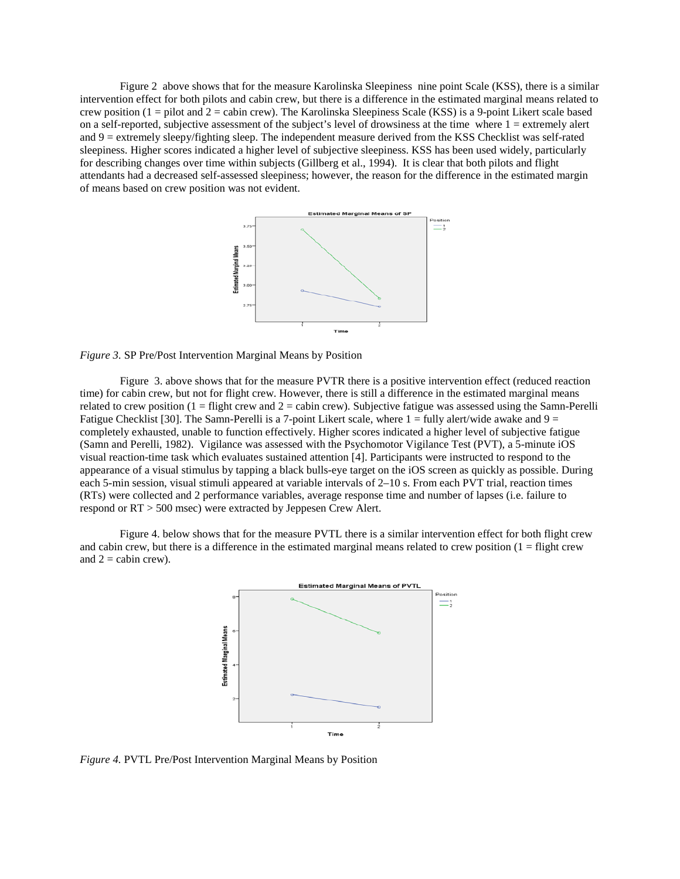Figure 2 above shows that for the measure Karolinska Sleepiness nine point Scale (KSS), there is a similar intervention effect for both pilots and cabin crew, but there is a difference in the estimated marginal means related to crew position  $(1 =$  pilot and  $2 =$  cabin crew). The Karolinska Sleepiness Scale (KSS) is a 9-point Likert scale based on a self-reported, subjective assessment of the subject's level of drowsiness at the time where  $1 =$  extremely alert and  $9 =$  extremely sleepy/fighting sleep. The independent measure derived from the KSS Checklist was self-rated sleepiness. Higher scores indicated a higher level of subjective sleepiness. KSS has been used widely, particularly for describing changes over time within subjects (Gillberg et al., 1994). It is clear that both pilots and flight attendants had a decreased self-assessed sleepiness; however, the reason for the difference in the estimated margin of means based on crew position was not evident.



*Figure 3.* SP Pre/Post Intervention Marginal Means by Position

Figure 3. above shows that for the measure PVTR there is a positive intervention effect (reduced reaction time) for cabin crew, but not for flight crew. However, there is still a difference in the estimated marginal means related to crew position  $(1 - \text{flight})$  crew and  $2 - \text{cabin crew}$ . Subjective fatigue was assessed using the Samn-Perelli Fatigue Checklist [30]. The Samn-Perelli is a 7-point Likert scale, where  $1 = \text{fully alert/wide}$  awake and  $9 =$ completely exhausted, unable to function effectively. Higher scores indicated a higher level of subjective fatigue (Samn and Perelli, 1982). Vigilance was assessed with the Psychomotor Vigilance Test (PVT), a 5-minute iOS visual reaction-time task which evaluates sustained attention [4]. Participants were instructed to respond to the appearance of a visual stimulus by tapping a black bulls-eye target on the iOS screen as quickly as possible. During each 5-min session, visual stimuli appeared at variable intervals of 2–10 s. From each PVT trial, reaction times (RTs) were collected and 2 performance variables, average response time and number of lapses (i.e. failure to respond or RT > 500 msec) were extracted by Jeppesen Crew Alert.

Figure 4. below shows that for the measure PVTL there is a similar intervention effect for both flight crew and cabin crew, but there is a difference in the estimated marginal means related to crew position  $(1 - \text{flight crew})$ and  $2 =$  cabin crew).



*Figure 4.* PVTL Pre/Post Intervention Marginal Means by Position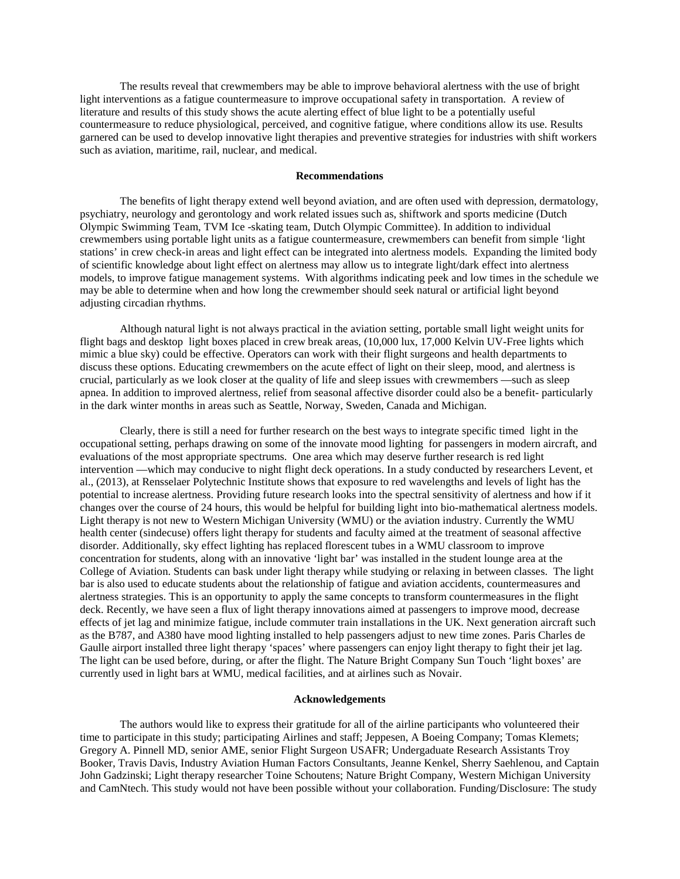The results reveal that crewmembers may be able to improve behavioral alertness with the use of bright light interventions as a fatigue countermeasure to improve occupational safety in transportation. A review of literature and results of this study shows the acute alerting effect of blue light to be a potentially useful countermeasure to reduce physiological, perceived, and cognitive fatigue, where conditions allow its use. Results garnered can be used to develop innovative light therapies and preventive strategies for industries with shift workers such as aviation, maritime, rail, nuclear, and medical.

#### **Recommendations**

The benefits of light therapy extend well beyond aviation, and are often used with depression, dermatology, psychiatry, neurology and gerontology and work related issues such as, shiftwork and sports medicine (Dutch Olympic Swimming Team, TVM Ice -skating team, Dutch Olympic Committee). In addition to individual crewmembers using portable light units as a fatigue countermeasure, crewmembers can benefit from simple 'light stations' in crew check-in areas and light effect can be integrated into alertness models. Expanding the limited body of scientific knowledge about light effect on alertness may allow us to integrate light/dark effect into alertness models, to improve fatigue management systems. With algorithms indicating peek and low times in the schedule we may be able to determine when and how long the crewmember should seek natural or artificial light beyond adjusting circadian rhythms.

Although natural light is not always practical in the aviation setting, portable small light weight units for flight bags and desktop light boxes placed in crew break areas, (10,000 lux, 17,000 Kelvin UV-Free lights which mimic a blue sky) could be effective. Operators can work with their flight surgeons and health departments to discuss these options. Educating crewmembers on the acute effect of light on their sleep, mood, and alertness is crucial, particularly as we look closer at the quality of life and sleep issues with crewmembers —such as sleep apnea. In addition to improved alertness, relief from seasonal affective disorder could also be a benefit- particularly in the dark winter months in areas such as Seattle, Norway, Sweden, Canada and Michigan.

Clearly, there is still a need for further research on the best ways to integrate specific timed light in the occupational setting, perhaps drawing on some of the innovate mood lighting for passengers in modern aircraft, and evaluations of the most appropriate spectrums. One area which may deserve further research is red light intervention —which may conducive to night flight deck operations. In a study conducted by researchers Levent, et al., (2013), at Rensselaer Polytechnic Institute shows that exposure to red wavelengths and levels of light has the potential to increase alertness. Providing future research looks into the spectral sensitivity of alertness and how if it changes over the course of 24 hours, this would be helpful for building light into bio-mathematical alertness models. Light therapy is not new to Western Michigan University (WMU) or the aviation industry. Currently the WMU health center (sindecuse) offers light therapy for students and faculty aimed at the treatment of seasonal affective disorder. Additionally, sky effect lighting has replaced florescent tubes in a WMU classroom to improve concentration for students, along with an innovative 'light bar' was installed in the student lounge area at the College of Aviation. Students can bask under light therapy while studying or relaxing in between classes. The light bar is also used to educate students about the relationship of fatigue and aviation accidents, countermeasures and alertness strategies. This is an opportunity to apply the same concepts to transform countermeasures in the flight deck. Recently, we have seen a flux of light therapy innovations aimed at passengers to improve mood, decrease effects of jet lag and minimize fatigue, include commuter train installations in the UK. Next generation aircraft such as the B787, and A380 have mood lighting installed to help passengers adjust to new time zones. Paris Charles de Gaulle airport installed three light therapy 'spaces' where passengers can enjoy light therapy to fight their jet lag. The light can be used before, during, or after the flight. The Nature Bright Company Sun Touch 'light boxes' are currently used in light bars at WMU, medical facilities, and at airlines such as Novair.

#### **Acknowledgements**

The authors would like to express their gratitude for all of the airline participants who volunteered their time to participate in this study; participating Airlines and staff; Jeppesen, A Boeing Company; Tomas Klemets; Gregory A. Pinnell MD, senior AME, senior Flight Surgeon USAFR; Undergaduate Research Assistants Troy Booker, Travis Davis, Industry Aviation Human Factors Consultants, Jeanne Kenkel, Sherry Saehlenou, and Captain John Gadzinski; Light therapy researcher Toine Schoutens; Nature Bright Company, Western Michigan University and CamNtech. This study would not have been possible without your collaboration. Funding/Disclosure: The study